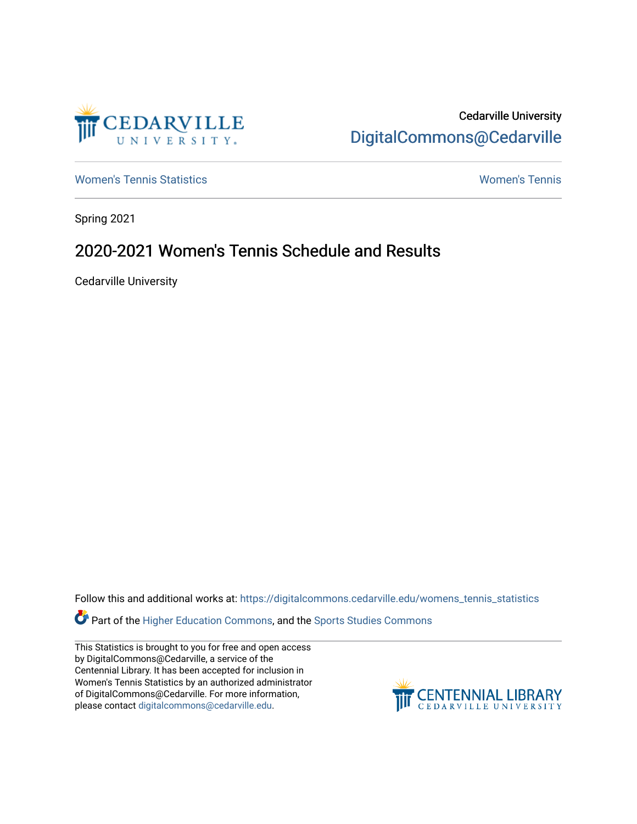

Cedarville University [DigitalCommons@Cedarville](https://digitalcommons.cedarville.edu/) 

[Women's Tennis Statistics](https://digitalcommons.cedarville.edu/womens_tennis_statistics) [Women's Tennis](https://digitalcommons.cedarville.edu/womens_tennis) 

Spring 2021

## 2020-2021 Women's Tennis Schedule and Results

Cedarville University

Follow this and additional works at: [https://digitalcommons.cedarville.edu/womens\\_tennis\\_statistics](https://digitalcommons.cedarville.edu/womens_tennis_statistics?utm_source=digitalcommons.cedarville.edu%2Fwomens_tennis_statistics%2F261&utm_medium=PDF&utm_campaign=PDFCoverPages) 

Part of the [Higher Education Commons,](http://network.bepress.com/hgg/discipline/1245?utm_source=digitalcommons.cedarville.edu%2Fwomens_tennis_statistics%2F261&utm_medium=PDF&utm_campaign=PDFCoverPages) and the [Sports Studies Commons](http://network.bepress.com/hgg/discipline/1198?utm_source=digitalcommons.cedarville.edu%2Fwomens_tennis_statistics%2F261&utm_medium=PDF&utm_campaign=PDFCoverPages) 

This Statistics is brought to you for free and open access by DigitalCommons@Cedarville, a service of the Centennial Library. It has been accepted for inclusion in Women's Tennis Statistics by an authorized administrator of DigitalCommons@Cedarville. For more information, please contact [digitalcommons@cedarville.edu](mailto:digitalcommons@cedarville.edu).